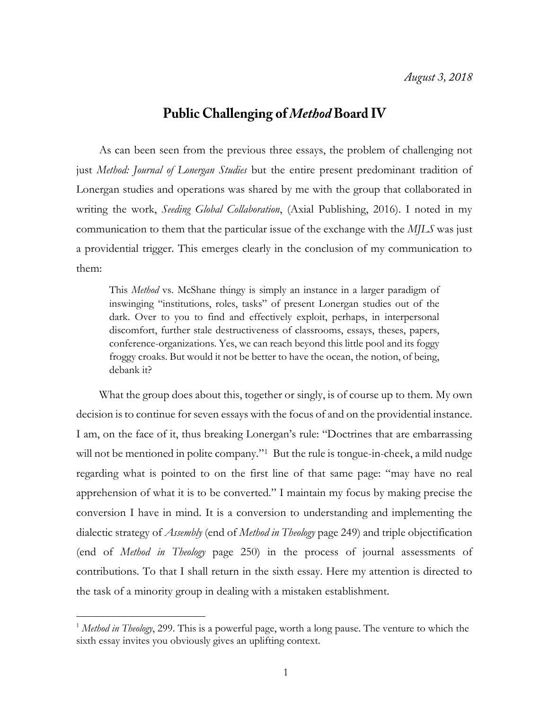## **Public Challenging of Method Board IV**

As can been seen from the previous three essays, the problem of challenging not just *Method: Journal of Lonergan Studies* but the entire present predominant tradition of Lonergan studies and operations was shared by me with the group that collaborated in writing the work, *Seeding Global Collaboration*, (Axial Publishing, 2016). I noted in my communication to them that the particular issue of the exchange with the *MJLS* was just a providential trigger. This emerges clearly in the conclusion of my communication to them:

This *Method* vs. McShane thingy is simply an instance in a larger paradigm of inswinging "institutions, roles, tasks" of present Lonergan studies out of the dark. Over to you to find and effectively exploit, perhaps, in interpersonal discomfort, further stale destructiveness of classrooms, essays, theses, papers, conference-organizations. Yes, we can reach beyond this little pool and its foggy froggy croaks. But would it not be better to have the ocean, the notion, of being, debank it?

What the group does about this, together or singly, is of course up to them. My own decision is to continue for seven essays with the focus of and on the providential instance. I am, on the face of it, thus breaking Lonergan's rule: "Doctrines that are embarrassing will not be mentioned in polite company."<sup>1</sup> But the rule is tongue-in-cheek, a mild nudge regarding what is pointed to on the first line of that same page: "may have no real apprehension of what it is to be converted." I maintain my focus by making precise the conversion I have in mind. It is a conversion to understanding and implementing the dialectic strategy of *Assembly* (end of *Method in Theology* page 249) and triple objectification (end of *Method in Theology* page 250) in the process of journal assessments of contributions. To that I shall return in the sixth essay. Here my attention is directed to the task of a minority group in dealing with a mistaken establishment.

 $\overline{a}$ 

<sup>&</sup>lt;sup>1</sup> Method in Theology, 299. This is a powerful page, worth a long pause. The venture to which the sixth essay invites you obviously gives an uplifting context.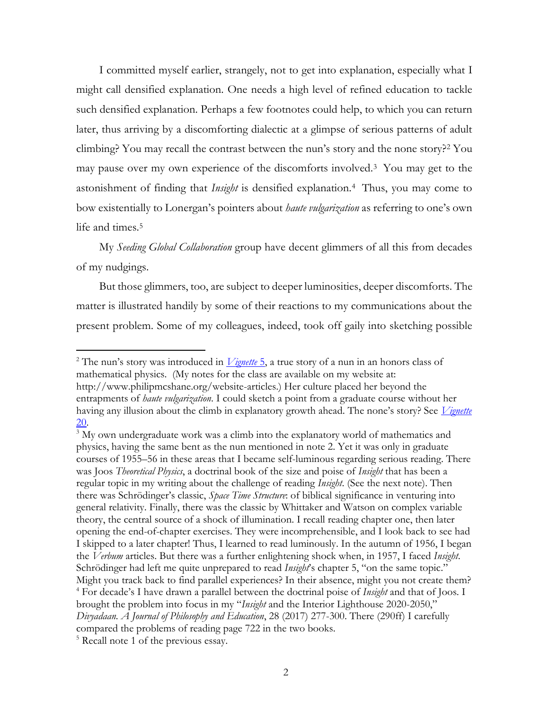I committed myself earlier, strangely, not to get into explanation, especially what I might call densified explanation. One needs a high level of refined education to tackle such densified explanation. Perhaps a few footnotes could help, to which you can return later, thus arriving by a discomforting dialectic at a glimpse of serious patterns of adult climbing? You may recall the contrast between the nun's story and the none story?<sup>2</sup> You may pause over my own experience of the discomforts involved.<sup>3</sup> You may get to the astonishment of finding that *Insight* is densified explanation.<sup>4</sup> Thus, you may come to bow existentially to Lonergan's pointers about *haute vulgarization* as referring to one's own life and times.<sup>5</sup>

My *Seeding Global Collaboration* group have decent glimmers of all this from decades of my nudgings.

But those glimmers, too, are subject to deeper luminosities, deeper discomforts. The matter is illustrated handily by some of their reactions to my communications about the present problem. Some of my colleagues, indeed, took off gaily into sketching possible

 $\overline{a}$ 

<sup>2</sup> The nun's story was introduced in *[Vignette](http://www.philipmcshane.org/wp-content/themes/philip/online_publications/series/vignettes/Vignette%205.pdf)* 5, a true story of a nun in an honors class of mathematical physics. (My notes for the class are available on my website at: http://www.philipmcshane.org/website-articles.) Her culture placed her beyond the entrapments of *haute vulgarization*. I could sketch a point from a graduate course without her having any illusion about the climb in explanatory growth ahead. The none's story? See *[Vignette](http://www.philipmcshane.org/wp-content/themes/philip/online_publications/series/vignettes/Vignette%2020.pdf)* [20.](http://www.philipmcshane.org/wp-content/themes/philip/online_publications/series/vignettes/Vignette%2020.pdf)

<sup>&</sup>lt;sup>3</sup> My own undergraduate work was a climb into the explanatory world of mathematics and physics, having the same bent as the nun mentioned in note 2. Yet it was only in graduate courses of 1955–56 in these areas that I became self-luminous regarding serious reading. There was Joos *Theoretical Physics*, a doctrinal book of the size and poise of *Insight* that has been a regular topic in my writing about the challenge of reading *Insight*. (See the next note). Then there was Schrödinger's classic, *Space Time Structure*: of biblical significance in venturing into general relativity. Finally, there was the classic by Whittaker and Watson on complex variable theory, the central source of a shock of illumination. I recall reading chapter one, then later opening the end-of-chapter exercises. They were incomprehensible, and I look back to see had I skipped to a later chapter! Thus, I learned to read luminously. In the autumn of 1956, I began the *Verbum* articles. But there was a further enlightening shock when, in 1957, I faced *Insight*. Schrödinger had left me quite unprepared to read *Insight*'s chapter 5, "on the same topic." Might you track back to find parallel experiences? In their absence, might you not create them? <sup>4</sup> For decade's I have drawn a parallel between the doctrinal poise of *Insight* and that of Joos. I brought the problem into focus in my "*Insight* and the Interior Lighthouse 2020-2050," *Divyadaan. A Journal of Philosophy and Education*, 28 (2017) 277-300. There (290ff) I carefully compared the problems of reading page 722 in the two books.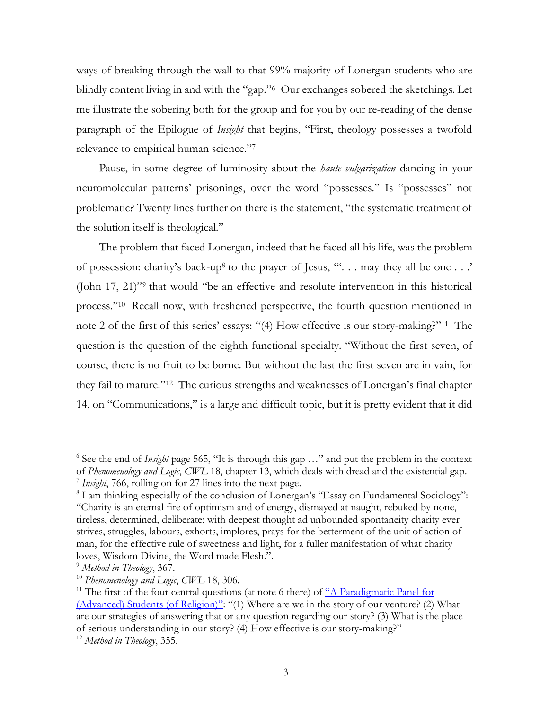ways of breaking through the wall to that 99% majority of Lonergan students who are blindly content living in and with the "gap."<sup>6</sup> Our exchanges sobered the sketchings. Let me illustrate the sobering both for the group and for you by our re-reading of the dense paragraph of the Epilogue of *Insight* that begins, "First, theology possesses a twofold relevance to empirical human science."<sup>7</sup>

Pause, in some degree of luminosity about the *haute vulgarization* dancing in your neuromolecular patterns' prisonings, over the word "possesses." Is "possesses" not problematic? Twenty lines further on there is the statement, "the systematic treatment of the solution itself is theological."

The problem that faced Lonergan, indeed that he faced all his life, was the problem of possession: charity's back-up<sup>8</sup> to the prayer of Jesus, "". . . may they all be one . . .' (John 17, 21)"<sup>9</sup> that would "be an effective and resolute intervention in this historical process."<sup>10</sup> Recall now, with freshened perspective, the fourth question mentioned in note 2 of the first of this series' essays: "(4) How effective is our story-making?"<sup>11</sup> The question is the question of the eighth functional specialty. "Without the first seven, of course, there is no fruit to be borne. But without the last the first seven are in vain, for they fail to mature."<sup>12</sup> The curious strengths and weaknesses of Lonergan's final chapter 14, on "Communications," is a large and difficult topic, but it is pretty evident that it did

 6 See the end of *Insight* page 565, "It is through this gap …" and put the problem in the context of *Phenomenology and Logic*, *CWL* 18, chapter 13, which deals with dread and the existential gap. 7 *Insight*, 766, rolling on for 27 lines into the next page.

<sup>&</sup>lt;sup>8</sup> I am thinking especially of the conclusion of Lonergan's "Essay on Fundamental Sociology": "Charity is an eternal fire of optimism and of energy, dismayed at naught, rebuked by none, tireless, determined, deliberate; with deepest thought ad unbounded spontaneity charity ever strives, struggles, labours, exhorts, implores, prays for the betterment of the unit of action of man, for the effective rule of sweetness and light, for a fuller manifestation of what charity loves, Wisdom Divine, the Word made Flesh.".

<sup>9</sup> *Method in Theology*, 367.

<sup>10</sup> *Phenomenology and Logic*, *CWL* 18, 306.

<sup>&</sup>lt;sup>11</sup> The first of the four central questions (at note 6 there) of  $\frac{a}{A}$  Paradigmatic Panel for [\(Advanced\) Students \(of Religion\)](http://www.philipmcshane.org/wp-content/themes/philip/online_publications/articles/A%20Paradigmatic%20Panel_final%20with%20appendix.pdf)": "(1) Where are we in the story of our venture? (2) What are our strategies of answering that or any question regarding our story? (3) What is the place of serious understanding in our story? (4) How effective is our story-making?"

<sup>12</sup> *Method in Theology*, 355.